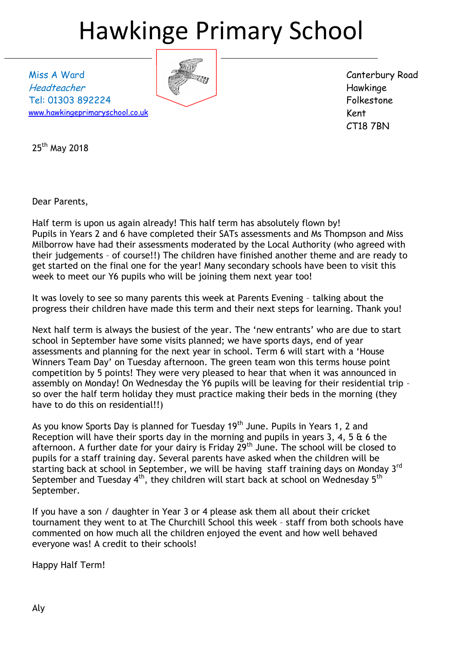## Hawkinge Primary School

Miss A Ward Headteacher Tel: 01303 892224 [www.hawkingeprimaryschool.co.uk](http://www.hawkingeprimaryschool.co.uk/)



Canterbury Road Hawkinge Folkestone Kent CT18 7BN

25<sup>th</sup> May 2018

Dear Parents,

Half term is upon us again already! This half term has absolutely flown by! Pupils in Years 2 and 6 have completed their SATs assessments and Ms Thompson and Miss Milborrow have had their assessments moderated by the Local Authority (who agreed with their judgements – of course!!) The children have finished another theme and are ready to get started on the final one for the year! Many secondary schools have been to visit this week to meet our Y6 pupils who will be joining them next year too!

It was lovely to see so many parents this week at Parents Evening – talking about the progress their children have made this term and their next steps for learning. Thank you!

Next half term is always the busiest of the year. The 'new entrants' who are due to start school in September have some visits planned; we have sports days, end of year assessments and planning for the next year in school. Term 6 will start with a 'House Winners Team Day' on Tuesday afternoon. The green team won this terms house point competition by 5 points! They were very pleased to hear that when it was announced in assembly on Monday! On Wednesday the Y6 pupils will be leaving for their residential trip – so over the half term holiday they must practice making their beds in the morning (they have to do this on residential!!)

As you know Sports Day is planned for Tuesday 19<sup>th</sup> June. Pupils in Years 1, 2 and Reception will have their sports day in the morning and pupils in years 3, 4, 5 & 6 the afternoon. A further date for your dairy is Friday 29<sup>th</sup> June. The school will be closed to pupils for a staff training day. Several parents have asked when the children will be starting back at school in September, we will be having staff training days on Monday 3<sup>rd</sup> September and Tuesday 4<sup>th</sup>, they children will start back at school on Wednesday 5<sup>th</sup> September.

If you have a son / daughter in Year 3 or 4 please ask them all about their cricket tournament they went to at The Churchill School this week – staff from both schools have commented on how much all the children enjoyed the event and how well behaved everyone was! A credit to their schools!

Happy Half Term!